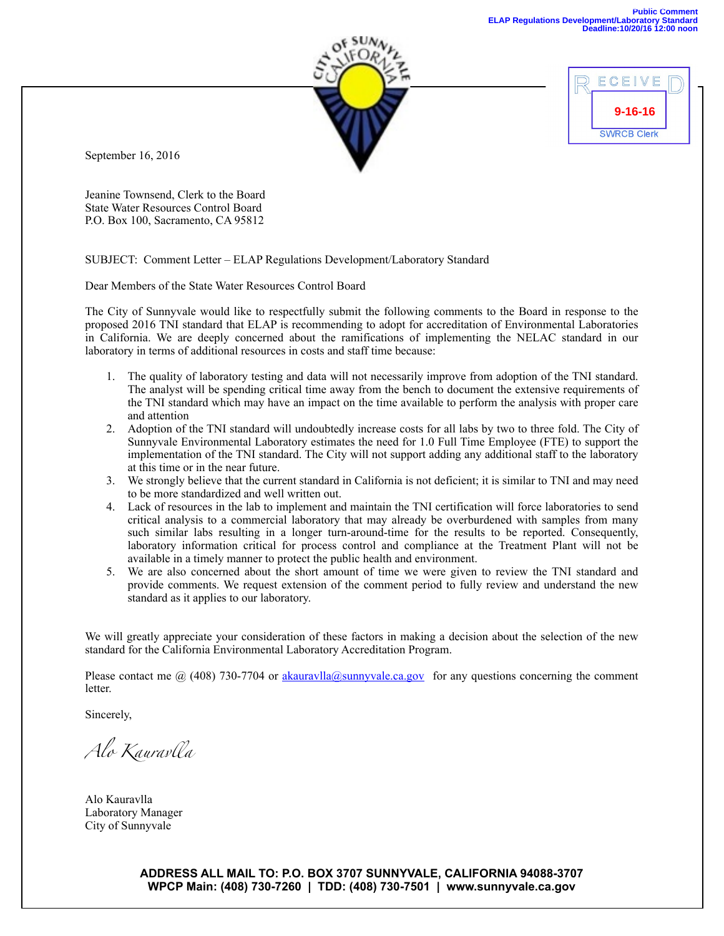

September 16, 2016

Jeanine Townsend, Clerk to the Board State Water Resources Control Board P.O. Box 100, Sacramento, CA 95812

SUBJECT: Comment Letter – ELAP Regulations Development/Laboratory Standard

Dear Members of the State Water Resources Control Board

The City of Sunnyvale would like to respectfully submit the following comments to the Board in response to the proposed 2016 TNI standard that ELAP is recommending to adopt for accreditation of Environmental Laboratories in California. We are deeply concerned about the ramifications of implementing the NELAC standard in our laboratory in terms of additional resources in costs and staff time because:

- 1. The quality of laboratory testing and data will not necessarily improve from adoption of the TNI standard. The analyst will be spending critical time away from the bench to document the extensive requirements of the TNI standard which may have an impact on the time available to perform the analysis with proper care and attention
- 2. Adoption of the TNI standard will undoubtedly increase costs for all labs by two to three fold. The City of Sunnyvale Environmental Laboratory estimates the need for 1.0 Full Time Employee (FTE) to support the implementation of the TNI standard. The City will not support adding any additional staff to the laboratory at this time or in the near future.
- 3. We strongly believe that the current standard in California is not deficient; it is similar to TNI and may need to be more standardized and well written out.
- 4. Lack of resources in the lab to implement and maintain the TNI certification will force laboratories to send critical analysis to a commercial laboratory that may already be overburdened with samples from many such similar labs resulting in a longer turn-around-time for the results to be reported. Consequently, laboratory information critical for process control and compliance at the Treatment Plant will not be available in a timely manner to protect the public health and environment.
- 5. We are also concerned about the short amount of time we were given to review the TNI standard and provide comments. We request extension of the comment period to fully review and understand the new standard as it applies to our laboratory.

We will greatly appreciate your consideration of these factors in making a decision about the selection of the new standard for the California Environmental Laboratory Accreditation Program.

Please contact me  $\omega$  (408) 730-7704 or akauravlla $\omega$ sunnyvale.ca.gov for any questions concerning the comment letter.

Sincerely,

*Alo Kaurav*l*a*

Alo Kauravlla Laboratory Manager City of Sunnyvale

**ADDRESS ALL MAIL TO: P.O. BOX 3707 SUNNYVALE, CALIFORNIA 94088-3707 WPCP Main: (408) 730-7260 | TDD: (408) 730-7501 | www.sunnyvale.ca.gov**